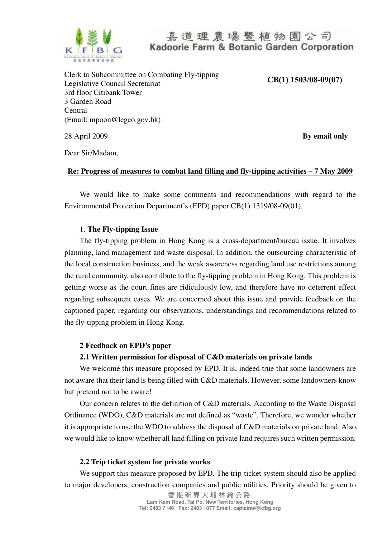

Clerk to Subcommittee on Combating Fly-tipping Legislative Council Secretariat 3rd floor Citibank Tower 3 Garden Road Central (Email: mpoon@legco.gov.hk)

**CB(1) 1503/08-09(07)**

28 April 2009 **By email only**

Dear Sir/Madam,

#### **Re: Progress of measures to combat land filling and fly-tipping activities – 7 May 2009**

We would like to make some comments and recommendations with regard to the Environmental Protection Department's (EPD) paper CB(1) 1319/08-09(01).

### 1. **The Fly-tipping Issue**

The fly-tipping problem in Hong Kong is a cross-department/bureau issue. It involves planning, land management and waste disposal. In addition, the outsourcing characteristic of the local construction business, and the weak awareness regarding land use restrictions among the rural community, also contribute to the fly-tipping problem in Hong Kong. This problem is getting worse as the court fines are ridiculously low, and therefore have no deterrent effect regarding subsequent cases. We are concerned about this issue and provide feedback on the captioned paper, regarding our observations, understandings and recommendations related to the fly-tipping problem in Hong Kong.

#### **2 Feedback on EPD's paper**

#### **2.1 Written permission for disposal of C&D materials on private lands**

We welcome this measure proposed by EPD. It is, indeed true that some landowners are not aware that their land is being filled with C&D materials. However, some landowners know but pretend not to be aware!

Our concern relates to the definition of C&D materials. According to the Waste Disposal Ordinance (WDO), C&D materials are not defined as "waste". Therefore, we wonder whether it is appropriate to use the WDO to address the disposal of C&D materials on private land. Also, we would like to know whether all land filling on private land requires such written permission.

#### **2.2 Trip ticket system for private works**

We support this measure proposed by EPD. The trip-ticket system should also be applied to major developers, construction companies and public utilities. Priority should be given to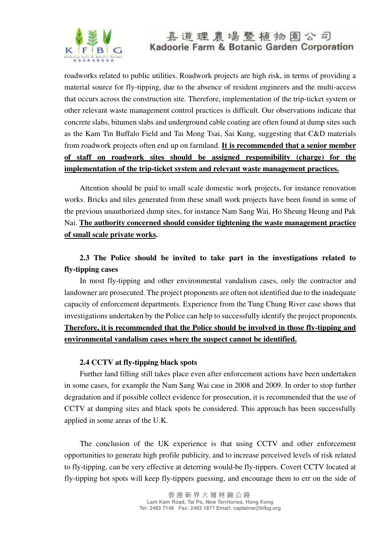

roadworks related to public utilities. Roadwork projects are high risk, in terms of providing a material source for fly-tipping, due to the absence of resident engineers and the multi-access that occurs across the construction site. Therefore, implementation of the trip-ticket system or other relevant waste management control practices is difficult. Our observations indicate that concrete slabs, bitumen slabs and underground cable coating are often found at dump sites such as the Kam Tin Buffalo Field and Tai Mong Tsai, Sai Kung, suggesting that C&D materials from roadwork projects often end up on farmland. **It is recommended that a senior member of staff on roadwork sites should be assigned responsibility (charge) for the implementation of the trip-ticket system and relevant waste management practices.**

Attention should be paid to small scale domestic work projects, for instance renovation works. Bricks and tiles generated from these small work projects have been found in some of the previous unauthorized dump sites, for instance Nam Sang Wai, Ho Sheung Heung and Pak Nai. **The authority concerned should consider tightening the waste management practice of small scale private works.** 

### **2.3 The Police should be invited to take part in the investigations related to fly-tipping cases**

In most fly-tipping and other environmental vandalism cases, only the contractor and landowner are prosecuted. The project proponents are often not identified due to the inadequate capacity of enforcement departments. Experience from the Tung Chung River case shows that investigations undertaken by the Police can help to successfully identify the project proponents. **Therefore, it is recommended that the Police should be involved in those fly-tipping and environmental vandalism cases where the suspect cannot be identified.**

#### **2.4 CCTV at fly-tipping black spots**

Further land filling still takes place even after enforcement actions have been undertaken in some cases, for example the Nam Sang Wai case in 2008 and 2009. In order to stop further degradation and if possible collect evidence for prosecution, it is recommended that the use of CCTV at dumping sites and black spots be considered. This approach has been successfully applied in some areas of the U.K.

The conclusion of the UK experience is that using CCTV and other enforcement opportunities to generate high profile publicity, and to increase perceived levels of risk related to fly-tipping, can be very effective at deterring would-be fly-tippers. Covert CCTV located at fly-tipping hot spots will keep fly-tippers guessing, and encourage them to err on the side of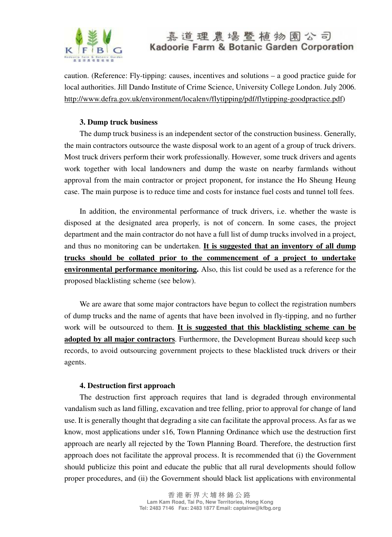

caution. (Reference: Fly-tipping: causes, incentives and solutions – a good practice guide for local authorities. Jill Dando Institute of Crime Science, University College London. July 2006. http://www.defra.gov.uk/environment/localenv/flytipping/pdf/flytipping-goodpractice.pdf)

### **3. Dump truck business**

The dump truck business is an independent sector of the construction business. Generally, the main contractors outsource the waste disposal work to an agent of a group of truck drivers. Most truck drivers perform their work professionally. However, some truck drivers and agents work together with local landowners and dump the waste on nearby farmlands without approval from the main contractor or project proponent, for instance the Ho Sheung Heung case. The main purpose is to reduce time and costs for instance fuel costs and tunnel toll fees.

In addition, the environmental performance of truck drivers, i.e. whether the waste is disposed at the designated area properly, is not of concern. In some cases, the project department and the main contractor do not have a full list of dump trucks involved in a project, and thus no monitoring can be undertaken. **It is suggested that an inventory of all dump trucks should be collated prior to the commencement of a project to undertake environmental performance monitoring.** Also, this list could be used as a reference for the proposed blacklisting scheme (see below).

We are aware that some major contractors have begun to collect the registration numbers of dump trucks and the name of agents that have been involved in fly-tipping, and no further work will be outsourced to them. **It is suggested that this blacklisting scheme can be adopted by all major contractors**. Furthermore, the Development Bureau should keep such records, to avoid outsourcing government projects to these blacklisted truck drivers or their agents.

#### **4. Destruction first approach**

The destruction first approach requires that land is degraded through environmental vandalism such as land filling, excavation and tree felling, prior to approval for change of land use. It is generally thought that degrading a site can facilitate the approval process. As far as we know, most applications under s16, Town Planning Ordinance which use the destruction first approach are nearly all rejected by the Town Planning Board. Therefore, the destruction first approach does not facilitate the approval process. It is recommended that (i) the Government should publicize this point and educate the public that all rural developments should follow proper procedures, and (ii) the Government should black list applications with environmental